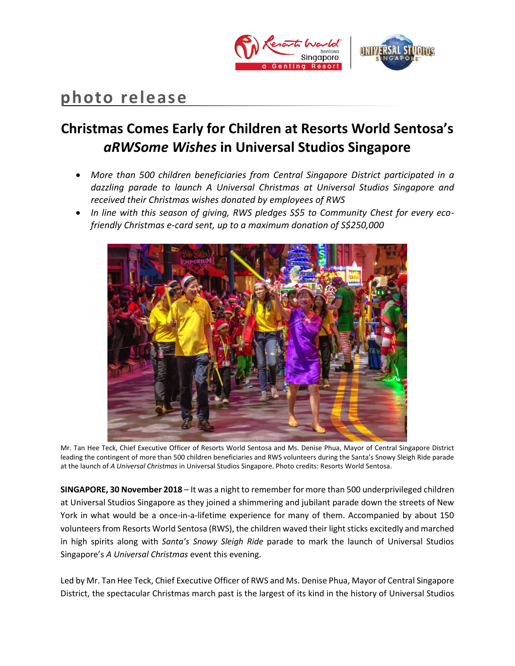

# **photo release**

## **Christmas Comes Early for Children at Resorts World Sentosa's**  *aRWSome Wishes* **in Universal Studios Singapore**

- *More than 500 children beneficiaries from Central Singapore District participated in a dazzling parade to launch A Universal Christmas at Universal Studios Singapore and received their Christmas wishes donated by employees of RWS*
- *In line with this season of giving, RWS pledges S\$5 to Community Chest for every ecofriendly Christmas e-card sent, up to a maximum donation of S\$250,000*



Mr. Tan Hee Teck, Chief Executive Officer of Resorts World Sentosa and Ms. Denise Phua, Mayor of Central Singapore District leading the contingent of more than 500 children beneficiaries and RWS volunteers during the Santa's Snowy Sleigh Ride parade at the launch of *A Universal Christmas* in Universal Studios Singapore. Photo credits: Resorts World Sentosa.

**SINGAPORE, 30 November 2018** – It was a night to remember for more than 500 underprivileged children at Universal Studios Singapore as they joined a shimmering and jubilant parade down the streets of New York in what would be a once-in-a-lifetime experience for many of them. Accompanied by about 150 volunteers from Resorts World Sentosa (RWS), the children waved their light sticks excitedly and marched in high spirits along with *Santa's Snowy Sleigh Ride* parade to mark the launch of Universal Studios Singapore's *A Universal Christmas* event this evening.

Led by Mr. Tan Hee Teck, Chief Executive Officer of RWS and Ms. Denise Phua, Mayor of Central Singapore District, the spectacular Christmas march past is the largest of its kind in the history of Universal Studios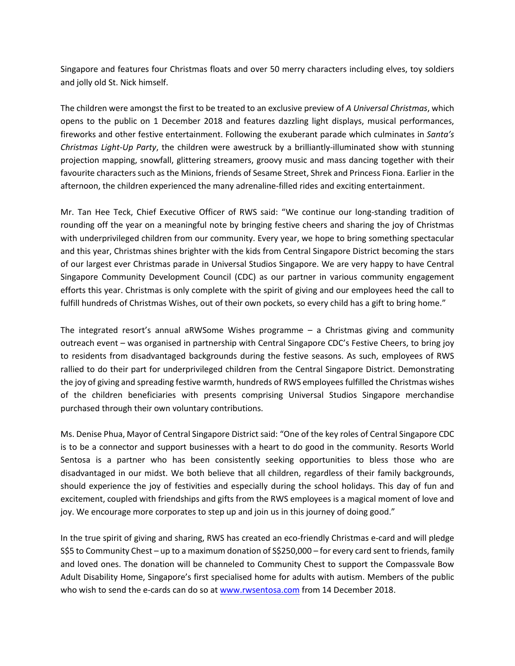Singapore and features four Christmas floats and over 50 merry characters including elves, toy soldiers and jolly old St. Nick himself.

The children were amongst the first to be treated to an exclusive preview of *A Universal Christmas*, which opens to the public on 1 December 2018 and features dazzling light displays, musical performances, fireworks and other festive entertainment. Following the exuberant parade which culminates in *Santa's Christmas Light-Up Party*, the children were awestruck by a brilliantly-illuminated show with stunning projection mapping, snowfall, glittering streamers, groovy music and mass dancing together with their favourite characters such as the Minions, friends of Sesame Street, Shrek and Princess Fiona. Earlier in the afternoon, the children experienced the many adrenaline-filled rides and exciting entertainment.

Mr. Tan Hee Teck, Chief Executive Officer of RWS said: "We continue our long-standing tradition of rounding off the year on a meaningful note by bringing festive cheers and sharing the joy of Christmas with underprivileged children from our community. Every year, we hope to bring something spectacular and this year, Christmas shines brighter with the kids from Central Singapore District becoming the stars of our largest ever Christmas parade in Universal Studios Singapore. We are very happy to have Central Singapore Community Development Council (CDC) as our partner in various community engagement efforts this year. Christmas is only complete with the spirit of giving and our employees heed the call to fulfill hundreds of Christmas Wishes, out of their own pockets, so every child has a gift to bring home."

The integrated resort's annual aRWSome Wishes programme – a Christmas giving and community outreach event – was organised in partnership with Central Singapore CDC's Festive Cheers, to bring joy to residents from disadvantaged backgrounds during the festive seasons. As such, employees of RWS rallied to do their part for underprivileged children from the Central Singapore District. Demonstrating the joy of giving and spreading festive warmth, hundreds of RWS employees fulfilled the Christmas wishes of the children beneficiaries with presents comprising Universal Studios Singapore merchandise purchased through their own voluntary contributions.

Ms. Denise Phua, Mayor of Central Singapore District said: "One of the key roles of Central Singapore CDC is to be a connector and support businesses with a heart to do good in the community. Resorts World Sentosa is a partner who has been consistently seeking opportunities to bless those who are disadvantaged in our midst. We both believe that all children, regardless of their family backgrounds, should experience the joy of festivities and especially during the school holidays. This day of fun and excitement, coupled with friendships and gifts from the RWS employees is a magical moment of love and joy. We encourage more corporates to step up and join us in this journey of doing good."

In the true spirit of giving and sharing, RWS has created an eco-friendly Christmas e-card and will pledge S\$5 to Community Chest – up to a maximum donation of S\$250,000 – for every card sent to friends, family and loved ones. The donation will be channeled to Community Chest to support the Compassvale Bow Adult Disability Home, Singapore's first specialised home for adults with autism. Members of the public who wish to send the e-cards can do so a[t www.rwsentosa.com](http://www.rwsentosa.com/) from 14 December 2018.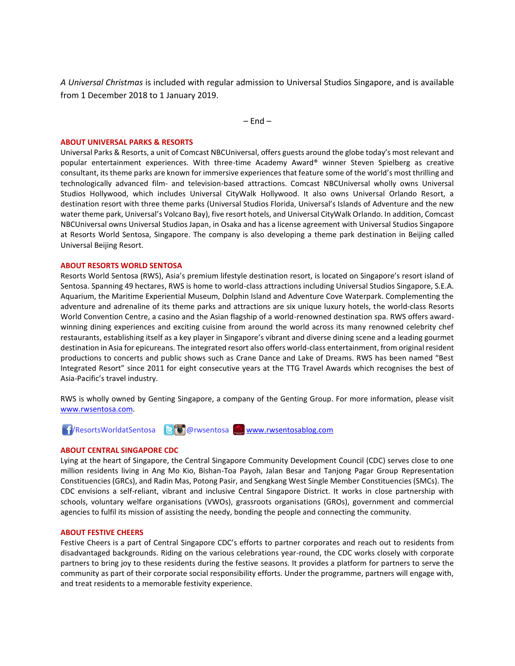*A Universal Christmas* is included with regular admission to Universal Studios Singapore, and is available from 1 December 2018 to 1 January 2019.

 $-$  End  $-$ 

#### **ABOUT UNIVERSAL PARKS & RESORTS**

Universal Parks & Resorts, a unit of Comcast NBCUniversal, offers guests around the globe today's most relevant and popular entertainment experiences. With three-time Academy Award® winner Steven Spielberg as creative consultant, its theme parks are known for immersive experiences that feature some of the world's most thrilling and technologically advanced film- and television-based attractions. Comcast NBCUniversal wholly owns Universal Studios Hollywood, which includes Universal CityWalk Hollywood. It also owns Universal Orlando Resort, a destination resort with three theme parks (Universal Studios Florida, Universal's Islands of Adventure and the new water theme park, Universal's Volcano Bay), five resort hotels, and Universal CityWalk Orlando. In addition, Comcast NBCUniversal owns Universal Studios Japan, in Osaka and has a license agreement with Universal Studios Singapore at Resorts World Sentosa, Singapore. The company is also developing a theme park destination in Beijing called Universal Beijing Resort.

#### **ABOUT RESORTS WORLD SENTOSA**

Resorts World Sentosa (RWS), Asia's premium lifestyle destination resort, is located on Singapore's resort island of Sentosa. Spanning 49 hectares, RWS is home to world-class attractions including Universal Studios Singapore, S.E.A. Aquarium, the Maritime Experiential Museum, Dolphin Island and Adventure Cove Waterpark. Complementing the adventure and adrenaline of its theme parks and attractions are six unique luxury hotels, the world-class Resorts World Convention Centre, a casino and the Asian flagship of a world-renowned destination spa. RWS offers awardwinning dining experiences and exciting cuisine from around the world across its many renowned celebrity chef restaurants, establishing itself as a key player in Singapore's vibrant and diverse dining scene and a leading gourmet destination in Asia for epicureans. The integrated resort also offers world-class entertainment, from original resident productions to concerts and public shows such as Crane Dance and Lake of Dreams. RWS has been named "Best Integrated Resort" since 2011 for eight consecutive years at the TTG Travel Awards which recognises the best of Asia-Pacific's travel industry.

RWS is wholly owned by Genting Singapore, a company of the Genting Group. For more information, please visit [www.rwsentosa.com.](http://www.rwsentosa.com/)

1/ResortsWorldatSentosa BO@rwsentosa [www.rwsentosablog.com](http://www.rwsentosablog.com/)

#### **ABOUT CENTRAL SINGAPORE CDC**

Lying at the heart of Singapore, the Central Singapore Community Development Council (CDC) serves close to one million residents living in Ang Mo Kio, Bishan-Toa Payoh, Jalan Besar and Tanjong Pagar Group Representation Constituencies (GRCs), and Radin Mas, Potong Pasir, and Sengkang West Single Member Constituencies (SMCs). The CDC envisions a self-reliant, vibrant and inclusive Central Singapore District. It works in close partnership with schools, voluntary welfare organisations (VWOs), grassroots organisations (GROs), government and commercial agencies to fulfil its mission of assisting the needy, bonding the people and connecting the community.

#### **ABOUT FESTIVE CHEERS**

Festive Cheers is a part of Central Singapore CDC's efforts to partner corporates and reach out to residents from disadvantaged backgrounds. Riding on the various celebrations year-round, the CDC works closely with corporate partners to bring joy to these residents during the festive seasons. It provides a platform for partners to serve the community as part of their corporate social responsibility efforts. Under the programme, partners will engage with, and treat residents to a memorable festivity experience.